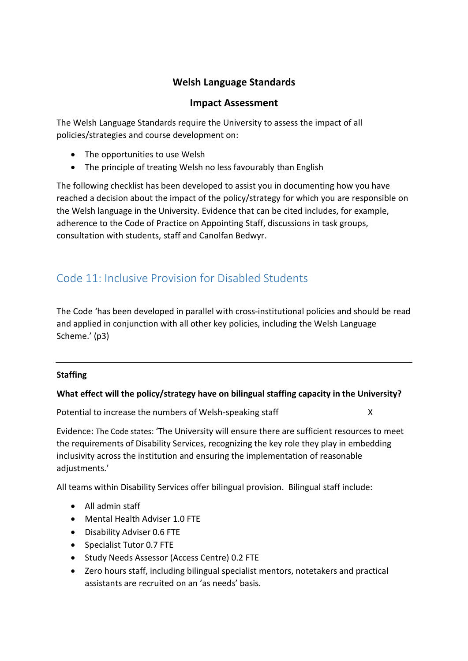## **Welsh Language Standards**

### **Impact Assessment**

The Welsh Language Standards require the University to assess the impact of all policies/strategies and course development on:

- The opportunities to use Welsh
- The principle of treating Welsh no less favourably than English

The following checklist has been developed to assist you in documenting how you have reached a decision about the impact of the policy/strategy for which you are responsible on the Welsh language in the University. Evidence that can be cited includes, for example, adherence to the Code of Practice on Appointing Staff, discussions in task groups, consultation with students, staff and Canolfan Bedwyr.

# Code 11: Inclusive Provision for Disabled Students

The Code 'has been developed in parallel with cross-institutional policies and should be read and applied in conjunction with all other key policies, including the Welsh Language Scheme.' (p3)

#### **Staffing**

#### **What effect will the policy/strategy have on bilingual staffing capacity in the University?**

Potential to increase the numbers of Welsh-speaking staff X

Evidence: The Code states: 'The University will ensure there are sufficient resources to meet the requirements of Disability Services, recognizing the key role they play in embedding inclusivity across the institution and ensuring the implementation of reasonable adjustments.'

All teams within Disability Services offer bilingual provision. Bilingual staff include:

- All admin staff
- Mental Health Adviser 1.0 FTE
- Disability Adviser 0.6 FTE
- Specialist Tutor 0.7 FTE
- Study Needs Assessor (Access Centre) 0.2 FTE
- Zero hours staff, including bilingual specialist mentors, notetakers and practical assistants are recruited on an 'as needs' basis.